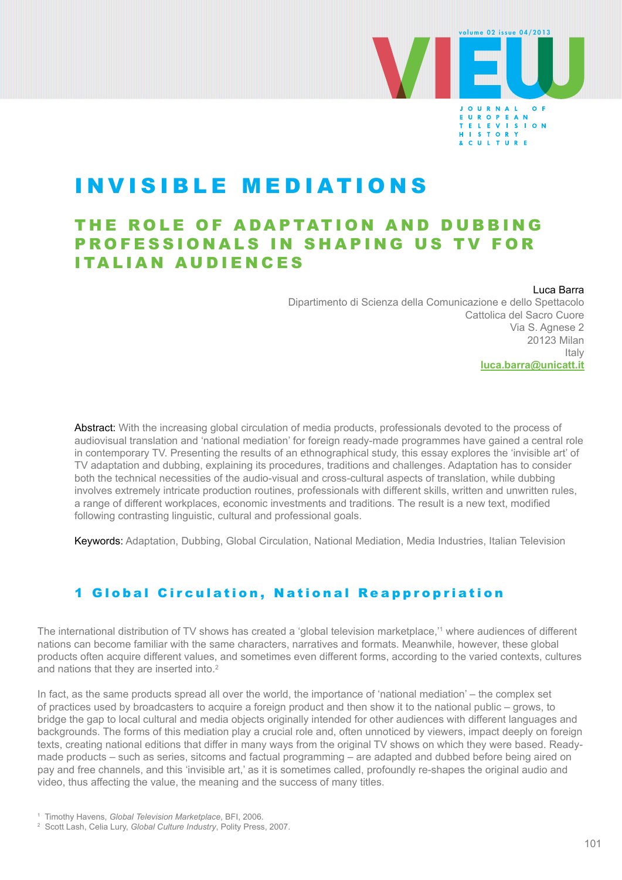

# INVISIBLE MEDIATIONS

## THE ROLE OF ADAPTATION AND DUBBING PROFESSIONALS IN SHAPING US TV FOR ITALIAN AUDIENCES

#### Luca Barra

Dipartimento di Scienza della Comunicazione e dello Spettacolo Cattolica del Sacro Cuore Via S. Agnese 2 20123 Milan Italy **[luca.barra@unicatt.it](mailto:luca.barra%40unicatt.it?subject=)**

Abstract: With the increasing global circulation of media products, professionals devoted to the process of audiovisual translation and 'national mediation' for foreign ready-made programmes have gained a central role in contemporary TV. Presenting the results of an ethnographical study, this essay explores the 'invisible art' of TV adaptation and dubbing, explaining its procedures, traditions and challenges. Adaptation has to consider both the technical necessities of the audio-visual and cross-cultural aspects of translation, while dubbing involves extremely intricate production routines, professionals with different skills, written and unwritten rules, a range of different workplaces, economic investments and traditions. The result is a new text, modified following contrasting linguistic, cultural and professional goals.

Keywords: Adaptation, Dubbing, Global Circulation, National Mediation, Media Industries, Italian Television

## 1 Global Circulation, National Reappropriation

The international distribution of TV shows has created a 'global television marketplace,'1 where audiences of different nations can become familiar with the same characters, narratives and formats. Meanwhile, however, these global products often acquire different values, and sometimes even different forms, according to the varied contexts, cultures and nations that they are inserted into.<sup>2</sup>

In fact, as the same products spread all over the world, the importance of 'national mediation' – the complex set of practices used by broadcasters to acquire a foreign product and then show it to the national public – grows, to bridge the gap to local cultural and media objects originally intended for other audiences with different languages and backgrounds. The forms of this mediation play a crucial role and, often unnoticed by viewers, impact deeply on foreign texts, creating national editions that differ in many ways from the original TV shows on which they were based. Readymade products – such as series, sitcoms and factual programming – are adapted and dubbed before being aired on pay and free channels, and this 'invisible art,' as it is sometimes called, profoundly re-shapes the original audio and video, thus affecting the value, the meaning and the success of many titles.

<sup>1</sup> Timothy Havens, *Global Television Marketplace*, BFI, 2006.

<sup>2</sup> Scott Lash, Celia Lury, *Global Culture Industry*, Polity Press, 2007.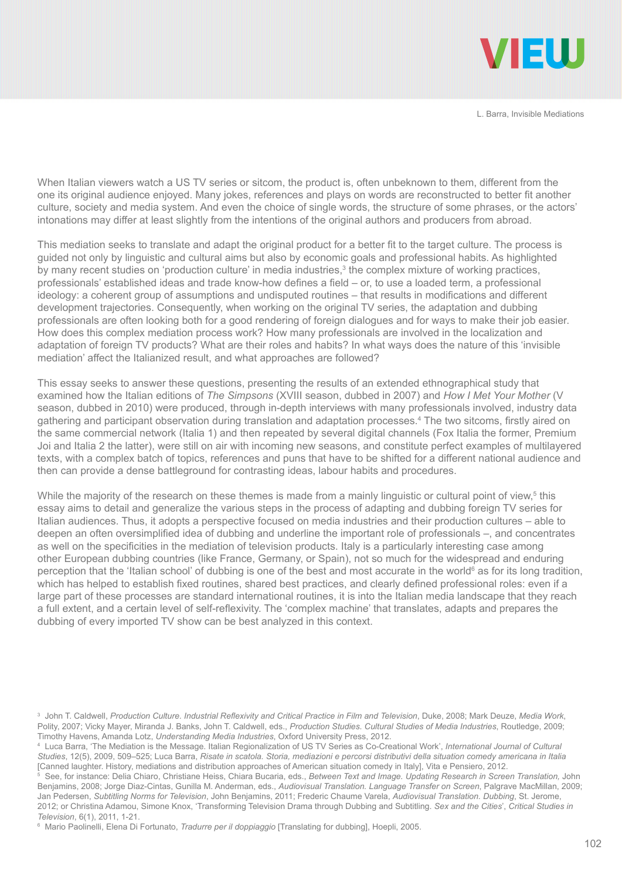

When Italian viewers watch a US TV series or sitcom, the product is, often unbeknown to them, different from the one its original audience enjoyed. Many jokes, references and plays on words are reconstructed to better fit another culture, society and media system. And even the choice of single words, the structure of some phrases, or the actors' intonations may differ at least slightly from the intentions of the original authors and producers from abroad.

This mediation seeks to translate and adapt the original product for a better fit to the target culture. The process is guided not only by linguistic and cultural aims but also by economic goals and professional habits. As highlighted by many recent studies on 'production culture' in media industries, $3$  the complex mixture of working practices, professionals' established ideas and trade know-how defines a field – or, to use a loaded term, a professional ideology: a coherent group of assumptions and undisputed routines – that results in modifications and different development trajectories. Consequently, when working on the original TV series, the adaptation and dubbing professionals are often looking both for a good rendering of foreign dialogues and for ways to make their job easier. How does this complex mediation process work? How many professionals are involved in the localization and adaptation of foreign TV products? What are their roles and habits? In what ways does the nature of this 'invisible mediation' affect the Italianized result, and what approaches are followed?

This essay seeks to answer these questions, presenting the results of an extended ethnographical study that examined how the Italian editions of *The Simpsons* (XVIII season, dubbed in 2007) and *How I Met Your Mother* (V season, dubbed in 2010) were produced, through in-depth interviews with many professionals involved, industry data gathering and participant observation during translation and adaptation processes.4 The two sitcoms, firstly aired on the same commercial network (Italia 1) and then repeated by several digital channels (Fox Italia the former, Premium Joi and Italia 2 the latter), were still on air with incoming new seasons, and constitute perfect examples of multilayered texts, with a complex batch of topics, references and puns that have to be shifted for a different national audience and then can provide a dense battleground for contrasting ideas, labour habits and procedures.

While the majority of the research on these themes is made from a mainly linguistic or cultural point of view,<sup>5</sup> this essay aims to detail and generalize the various steps in the process of adapting and dubbing foreign TV series for Italian audiences. Thus, it adopts a perspective focused on media industries and their production cultures – able to deepen an often oversimplified idea of dubbing and underline the important role of professionals –, and concentrates as well on the specificities in the mediation of television products. Italy is a particularly interesting case among other European dubbing countries (like France, Germany, or Spain), not so much for the widespread and enduring perception that the 'Italian school' of dubbing is one of the best and most accurate in the world<sup>6</sup> as for its long tradition, which has helped to establish fixed routines, shared best practices, and clearly defined professional roles: even if a large part of these processes are standard international routines, it is into the Italian media landscape that they reach a full extent, and a certain level of self-reflexivity. The 'complex machine' that translates, adapts and prepares the dubbing of every imported TV show can be best analyzed in this context.

<sup>3</sup> John T. Caldwell, *Production Culture. Industrial Reflexivity and Critical Practice in Film and Television*, Duke, 2008; Mark Deuze, *Media Work*, Polity, 2007; Vicky Mayer, Miranda J. Banks, John T. Caldwell, eds., *Production Studies. Cultural Studies of Media Industries*, Routledge, 2009; Timothy Havens, Amanda Lotz, *Understanding Media Industries*, Oxford University Press, 2012.

<sup>4</sup> Luca Barra, 'The Mediation is the Message. Italian Regionalization of US TV Series as Co-Creational Work', *International Journal of Cultural Studies*, 12(5), 2009, 509–525; Luca Barra, *Risate in scatola. Storia, mediazioni e percorsi distributivi della situation comedy americana in Italia*  [Canned laughter. History, mediations and distribution approaches of American situation comedy in Italy], Vita e Pensiero, 2012.

<sup>5</sup> See, for instance: Delia Chiaro, Christiane Heiss, Chiara Bucaria, eds., Between Text and Image. Updating Research in Screen Translation, John Benjamins, 2008; Jorge Diaz-Cintas, Gunilla M. Anderman, eds., *Audiovisual Translation. Language Transfer on Screen*, Palgrave MacMillan, 2009; Jan Pedersen, *Subtitling Norms for Television*, John Benjamins, 2011; Frederic Chaume Varela, *Audiovisual Translation. Dubbing*, St. Jerome, 2012; or Christina Adamou, Simone Knox, 'Transforming Television Drama through Dubbing and Subtitling. *Sex and the Cities*', *Critical Studies in Television*, 6(1), 2011, 1-21.

<sup>6</sup> Mario Paolinelli, Elena Di Fortunato, *Tradurre per il doppiaggio* [Translating for dubbing], Hoepli, 2005.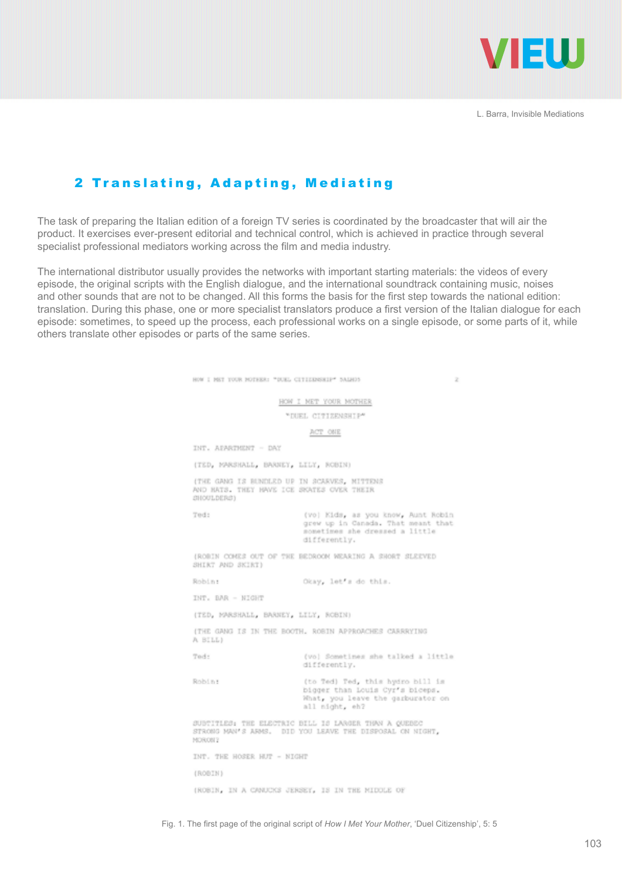

## 2 Translating, Adapting, Mediating

The task of preparing the Italian edition of a foreign TV series is coordinated by the broadcaster that will air the product. It exercises ever-present editorial and technical control, which is achieved in practice through several specialist professional mediators working across the film and media industry.

The international distributor usually provides the networks with important starting materials: the videos of every episode, the original scripts with the English dialogue, and the international soundtrack containing music, noises and other sounds that are not to be changed. All this forms the basis for the first step towards the national edition: translation. During this phase, one or more specialist translators produce a first version of the Italian dialogue for each episode: sometimes, to speed up the process, each professional works on a single episode, or some parts of it, while others translate other episodes or parts of the same series.

| HOW I MKT YOUR MOTHER: "DUEL CITIED/SHIP" SALHOS<br>2                                                                                |
|--------------------------------------------------------------------------------------------------------------------------------------|
| HOW I NET YOUR MOTHER                                                                                                                |
| "DUEL CITIZENSHIP"                                                                                                                   |
| ACT ONE                                                                                                                              |
| INT. APARTMENT - DAY                                                                                                                 |
| (TED, MARSHALL, BARNEY, LILY, ROBIN)                                                                                                 |
| (THE GANG IS BUNDLED UP IN SCARVES, MITTENS<br>AND HATS. THEY HAVE ICE SKATES OVER THEIR<br>SHOULDERS)                               |
| Ted:<br>(vo) Kids, as you know, Aunt Robin<br>grew up in Canada, That meant that<br>sometimes she dressed a little<br>differently.   |
| (ROBIN COMES OUT OF THE BEDROOM WEARING A SHORT SLEEVED<br>SHIRT AND SKIRT)                                                          |
| Robin:<br>Okay, let s do this.                                                                                                       |
| INT. BAR - NIGHT                                                                                                                     |
| (TED, MARSHALL, BARNEY, LILY, ROBIN)                                                                                                 |
| (THE GANG IS IN THE BOOTH, ROBIN APPROACHES CARRRYING<br>A BILL)                                                                     |
| Ted:<br>(vo) Sometimes she talked a little<br>differently.                                                                           |
| Robin:<br>(to Ted) Ted, this hydro bill is<br>bigger than Louis Cyr's biceps.<br>What, you leave the garburator on<br>all might, eh? |
| SUBTITLES: THE ELECTRIC BILL IS LARGER THAN A QUEBEC<br>STRONG MAN'S ARMS. DID YOU LEAVE THE DISPOSAL ON NIGHT,<br>MORON?            |
| INT. THE HOSER HUT - NIGHT                                                                                                           |
| (ROBIN)                                                                                                                              |
| (ROBIN, IN A CANUCKS JERSEY, IS IN THE MIDDLE OF                                                                                     |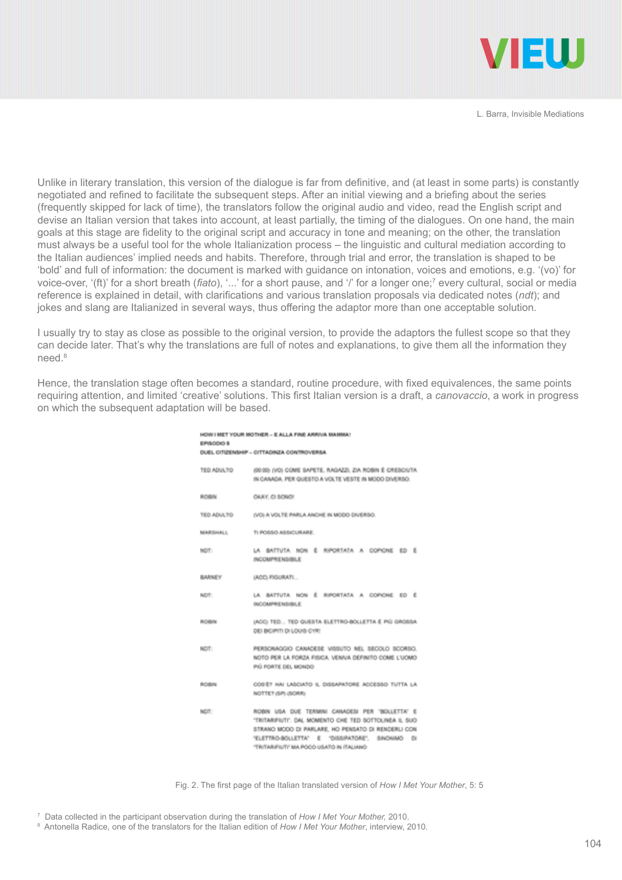

Unlike in literary translation, this version of the dialogue is far from definitive, and (at least in some parts) is constantly negotiated and refined to facilitate the subsequent steps. After an initial viewing and a briefing about the series (frequently skipped for lack of time), the translators follow the original audio and video, read the English script and devise an Italian version that takes into account, at least partially, the timing of the dialogues. On one hand, the main goals at this stage are fidelity to the original script and accuracy in tone and meaning; on the other, the translation must always be a useful tool for the whole Italianization process – the linguistic and cultural mediation according to the Italian audiences' implied needs and habits. Therefore, through trial and error, the translation is shaped to be 'bold' and full of information: the document is marked with guidance on intonation, voices and emotions, e.g. '(vo)' for voice-over, '(ft)' for a short breath (*fiato*), '...' for a short pause, and '/' for a longer one;7 every cultural, social or media reference is explained in detail, with clarifications and various translation proposals via dedicated notes (*ndt*); and jokes and slang are Italianized in several ways, thus offering the adaptor more than one acceptable solution.

I usually try to stay as close as possible to the original version, to provide the adaptors the fullest scope so that they can decide later. That's why the translations are full of notes and explanations, to give them all the information they need.8

Hence, the translation stage often becomes a standard, routine procedure, with fixed equivalences, the same points requiring attention, and limited 'creative' solutions. This first Italian version is a draft, a *canovaccio*, a work in progress on which the subsequent adaptation will be based.

**ALL MET VOLUM MOTIVER ... E ALL A FINE ARRIVA MAMMA** 

| EPISODIO 5<br>DUEL CITIZENSHIP - CITTADINZA CONTROVERSA |                                                                                                                                                                                                                                                         |  |
|---------------------------------------------------------|---------------------------------------------------------------------------------------------------------------------------------------------------------------------------------------------------------------------------------------------------------|--|
| TED ADULTO                                              | (30.00) (VO) COME SAPETE, RAGAZZI, ZIA ROBIN É CRESCIUTA.<br>IN CANADA. PER QUESTO A VOLTE VESTE IN MODO DIVERSO.                                                                                                                                       |  |
| ROBIN                                                   | OKAY, CI SONO!                                                                                                                                                                                                                                          |  |
| TED ADULTO                                              | (VO) A VOLTE PARLA ANCHE IN MODO DIVERSO.                                                                                                                                                                                                               |  |
| <b>MARTINALL</b>                                        | TI POSSO ASSICURARE                                                                                                                                                                                                                                     |  |
| NDT:                                                    | LA BATTUTA NON É RIPORTATA A COPIONE ED É<br>INCOMPRENSIBLE                                                                                                                                                                                             |  |
| BARNEY                                                  | (ACC) FIGURATL                                                                                                                                                                                                                                          |  |
| NDT:                                                    | LA BATTUTA NON È RIPORTATA A COPIONE ED È<br>INCOMPRENSIBLE                                                                                                                                                                                             |  |
| ROBIN                                                   | (ACC) TED TED QUESTA ELETTRO-BOLLETTA É PIÙ GROSSA.<br>DEI BICIPITI DI LOUIS CYR!                                                                                                                                                                       |  |
| NDT:                                                    | PERSONAGGIO CANADESE VISSUTO NEL SECOLO SCORSO.<br>NOTO PER LA FORZA FISICA, VENIVA DEFINITO COME L'UCMO.<br>PIÙ FORTE DEL MONDO                                                                                                                        |  |
| ROBIN                                                   | COSTE? HAI LASCIATO IL DISSAPATORE ACCESSO TUTTA LA<br>NOTTE? (SP) (SORR)                                                                                                                                                                               |  |
| NDT:                                                    | ROBIN USA DUE TERMINI CANADESI PER 'BOLLETTA' E<br>"TRITARIFIUTI". DAL MOMENTO CHE TED SOTTOLINEA IL SUO<br>STRANO MCCO DI PARLARE, HO PENSATO DI RENDERLI CON<br>'ELETTRO-BOLLETTA' E 'DISSIPATORE', SINONIMO DI<br>DANLINTI WA POCO USATO IN ITALIANO |  |

Fig. 2. The first page of the Italian translated version of *How I Met Your Mother*, 5: 5

7 Data collected in the participant observation during the translation of *How I Met Your Mother,* 2010.

8 Antonella Radice, one of the translators for the Italian edition of *How I Met Your Mother*, interview, 2010.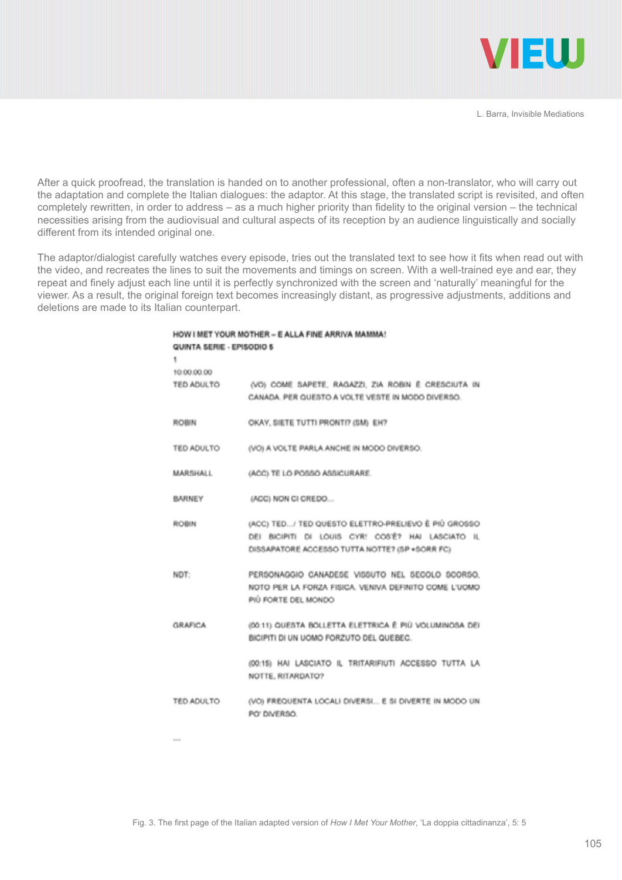

After a quick proofread, the translation is handed on to another professional, often a non-translator, who will carry out the adaptation and complete the Italian dialogues: the adaptor. At this stage, the translated script is revisited, and often completely rewritten, in order to address – as a much higher priority than fidelity to the original version – the technical necessities arising from the audiovisual and cultural aspects of its reception by an audience linguistically and socially different from its intended original one.

The adaptor/dialogist carefully watches every episode, tries out the translated text to see how it fits when read out with the video, and recreates the lines to suit the movements and timings on screen. With a well-trained eye and ear, they repeat and finely adjust each line until it is perfectly synchronized with the screen and 'naturally' meaningful for the viewer. As a result, the original foreign text becomes increasingly distant, as progressive adjustments, additions and deletions are made to its Italian counterpart.

| HOW I MET YOUR MOTHER - E ALLA FINE ARRIVA MAMMA! |  |
|---------------------------------------------------|--|
| QUINTA SERIE - EPISODIO 5                         |  |

| 10.00.00.00       |                                                                                                                                                             |
|-------------------|-------------------------------------------------------------------------------------------------------------------------------------------------------------|
|                   | TED ADULTO (VO) COME SAPETE, RAGAZZI, ZIA ROBIN È CRESCIUTA IN<br>CANADA. PER QUESTO A VOLTE VESTE IN MODO DIVERSO.                                         |
| <b>ROBIN</b>      | OKAY, SIETE TUTTI PRONTI? (SM) EH?                                                                                                                          |
| <b>TED ADULTO</b> | (VO) A VOLTE PARLA ANCHE IN MODO DIVERSO.                                                                                                                   |
| MARSHALL          | (ACC) TE LO POSSO ASSICURARE.                                                                                                                               |
| <b>BARNEY</b>     | (ACC) NON CI CREDO                                                                                                                                          |
| <b>ROBIN</b>      | (ACC) TED / TED QUESTO ELETTRO-PRELIEVO È PIÙ GROSSO<br>DEI BICIPITI DI LOUIS CYR! COS'Ê? HAI LASCIATO IL<br>DISSAPATORE ACCESSO TUTTA NOTTE? (SP +SORR FC) |
| NDT:              | PERSONAGGIO CANADESE VISSUTO NEL SECOLO SCORSO.<br>NOTO PER LA FORZA FISICA. VENIVA DEFINITO COME L'UOMO<br>PIÙ FORTE DEL MONDO                             |
| <b>GRAFICA</b>    | (00:11) QUESTA BOLLETTA ELETTRICA È PIÙ VOLUMINOSA DEI<br>BICIPITI DI UN UOMO FORZUTO DEL QUEBEC.                                                           |
|                   | (00:15) HAI LASCIATO IL TRITARIFIUTI ACCESSO TUTTA LA<br>NOTTE, RITARDATO?                                                                                  |
| TED ADULTO        | (VO) FREQUENTA LOCALI DIVERSI E SI DIVERTE IN MODO UN<br>PO' DIVERSO.                                                                                       |
|                   |                                                                                                                                                             |

ï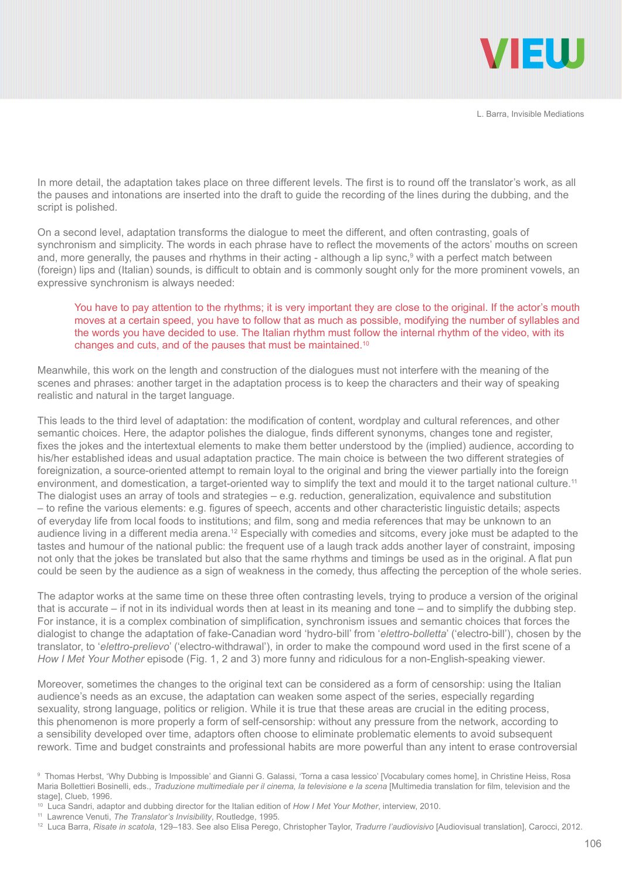

In more detail, the adaptation takes place on three different levels. The first is to round off the translator's work, as all the pauses and intonations are inserted into the draft to guide the recording of the lines during the dubbing, and the script is polished.

On a second level, adaptation transforms the dialogue to meet the different, and often contrasting, goals of synchronism and simplicity. The words in each phrase have to reflect the movements of the actors' mouths on screen and, more generally, the pauses and rhythms in their acting - although a lip sync,<sup>9</sup> with a perfect match between (foreign) lips and (Italian) sounds, is difficult to obtain and is commonly sought only for the more prominent vowels, an expressive synchronism is always needed:

#### You have to pay attention to the rhythms; it is very important they are close to the original. If the actor's mouth moves at a certain speed, you have to follow that as much as possible, modifying the number of syllables and the words you have decided to use. The Italian rhythm must follow the internal rhythm of the video, with its changes and cuts, and of the pauses that must be maintained.10

Meanwhile, this work on the length and construction of the dialogues must not interfere with the meaning of the scenes and phrases: another target in the adaptation process is to keep the characters and their way of speaking realistic and natural in the target language.

This leads to the third level of adaptation: the modification of content, wordplay and cultural references, and other semantic choices. Here, the adaptor polishes the dialogue, finds different synonyms, changes tone and register, fixes the jokes and the intertextual elements to make them better understood by the (implied) audience, according to his/her established ideas and usual adaptation practice. The main choice is between the two different strategies of foreignization, a source-oriented attempt to remain loyal to the original and bring the viewer partially into the foreign environment, and domestication, a target-oriented way to simplify the text and mould it to the target national culture.<sup>11</sup> The dialogist uses an array of tools and strategies – e.g. reduction, generalization, equivalence and substitution – to refine the various elements: e.g. figures of speech, accents and other characteristic linguistic details; aspects of everyday life from local foods to institutions; and film, song and media references that may be unknown to an audience living in a different media arena.<sup>12</sup> Especially with comedies and sitcoms, every joke must be adapted to the tastes and humour of the national public: the frequent use of a laugh track adds another layer of constraint, imposing not only that the jokes be translated but also that the same rhythms and timings be used as in the original. A flat pun could be seen by the audience as a sign of weakness in the comedy, thus affecting the perception of the whole series.

The adaptor works at the same time on these three often contrasting levels, trying to produce a version of the original that is accurate – if not in its individual words then at least in its meaning and tone – and to simplify the dubbing step. For instance, it is a complex combination of simplification, synchronism issues and semantic choices that forces the dialogist to change the adaptation of fake-Canadian word 'hydro-bill' from '*elettro-bolletta*' ('electro-bill'), chosen by the translator, to '*elettro-prelievo*' ('electro-withdrawal'), in order to make the compound word used in the first scene of a *How I Met Your Mother* episode (Fig. 1, 2 and 3) more funny and ridiculous for a non-English-speaking viewer.

Moreover, sometimes the changes to the original text can be considered as a form of censorship: using the Italian audience's needs as an excuse, the adaptation can weaken some aspect of the series, especially regarding sexuality, strong language, politics or religion. While it is true that these areas are crucial in the editing process, this phenomenon is more properly a form of self-censorship: without any pressure from the network, according to a sensibility developed over time, adaptors often choose to eliminate problematic elements to avoid subsequent rework. Time and budget constraints and professional habits are more powerful than any intent to erase controversial

<sup>9</sup> Thomas Herbst, 'Why Dubbing is Impossible' and Gianni G. Galassi, 'Torna a casa lessico' [Vocabulary comes home], in Christine Heiss, Rosa Maria Bollettieri Bosinelli, eds., *Traduzione multimediale per il cinema, la televisione e la scena* [Multimedia translation for film, television and the stage], Clueb, 1996.

<sup>10</sup> Luca Sandri, adaptor and dubbing director for the Italian edition of *How I Met Your Mother*, interview, 2010.

<sup>11</sup> Lawrence Venuti, *The Translator's Invisibility*, Routledge, 1995.

<sup>12</sup> Luca Barra, *Risate in scatola*, 129–183. See also Elisa Perego, Christopher Taylor, *Tradurre l'audiovisivo* [Audiovisual translation], Carocci, 2012.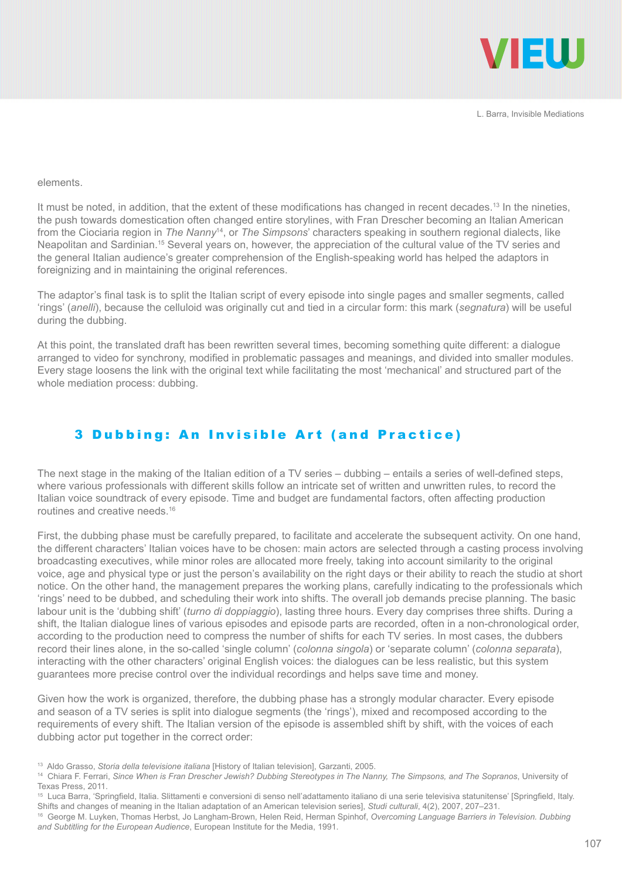

#### elements.

It must be noted, in addition, that the extent of these modifications has changed in recent decades.<sup>13</sup> In the nineties, the push towards domestication often changed entire storylines, with Fran Drescher becoming an Italian American from the Ciociaria region in *The Nanny*14, or *The Simpsons*' characters speaking in southern regional dialects, like Neapolitan and Sardinian.15 Several years on, however, the appreciation of the cultural value of the TV series and the general Italian audience's greater comprehension of the English-speaking world has helped the adaptors in foreignizing and in maintaining the original references.

The adaptor's final task is to split the Italian script of every episode into single pages and smaller segments, called 'rings' (*anelli*), because the celluloid was originally cut and tied in a circular form: this mark (*segnatura*) will be useful during the dubbing.

At this point, the translated draft has been rewritten several times, becoming something quite different: a dialogue arranged to video for synchrony, modified in problematic passages and meanings, and divided into smaller modules. Every stage loosens the link with the original text while facilitating the most 'mechanical' and structured part of the whole mediation process: dubbing.

## 3 Dubbing: An Invisible Art (and Practice)

The next stage in the making of the Italian edition of a TV series – dubbing – entails a series of well-defined steps, where various professionals with different skills follow an intricate set of written and unwritten rules, to record the Italian voice soundtrack of every episode. Time and budget are fundamental factors, often affecting production routines and creative needs.16

First, the dubbing phase must be carefully prepared, to facilitate and accelerate the subsequent activity. On one hand, the different characters' Italian voices have to be chosen: main actors are selected through a casting process involving broadcasting executives, while minor roles are allocated more freely, taking into account similarity to the original voice, age and physical type or just the person's availability on the right days or their ability to reach the studio at short notice. On the other hand, the management prepares the working plans, carefully indicating to the professionals which 'rings' need to be dubbed, and scheduling their work into shifts. The overall job demands precise planning. The basic labour unit is the 'dubbing shift' (*turno di doppiaggio*), lasting three hours. Every day comprises three shifts. During a shift, the Italian dialogue lines of various episodes and episode parts are recorded, often in a non-chronological order, according to the production need to compress the number of shifts for each TV series. In most cases, the dubbers record their lines alone, in the so-called 'single column' (*colonna singola*) or 'separate column' (*colonna separata*), interacting with the other characters' original English voices: the dialogues can be less realistic, but this system guarantees more precise control over the individual recordings and helps save time and money.

Given how the work is organized, therefore, the dubbing phase has a strongly modular character. Every episode and season of a TV series is split into dialogue segments (the 'rings'), mixed and recomposed according to the requirements of every shift. The Italian version of the episode is assembled shift by shift, with the voices of each dubbing actor put together in the correct order:

<sup>13</sup> Aldo Grasso, *Storia della televisione italiana* [History of Italian television], Garzanti, 2005.

<sup>14</sup> Chiara F. Ferrari, *Since When is Fran Drescher Jewish? Dubbing Stereotypes in The Nanny, The Simpsons, and The Sopranos*, University of Texas Press, 2011.

<sup>15</sup> Luca Barra, 'Springfield, Italia. Slittamenti e conversioni di senso nell'adattamento italiano di una serie televisiva statunitense' [Springfield, Italy. Shifts and changes of meaning in the Italian adaptation of an American television series], *Studi culturali*, 4(2), 2007, 207–231.

<sup>16</sup> George M. Luyken, Thomas Herbst, Jo Langham-Brown, Helen Reid, Herman Spinhof, *Overcoming Language Barriers in Television. Dubbing and Subtitling for the European Audience*, European Institute for the Media, 1991.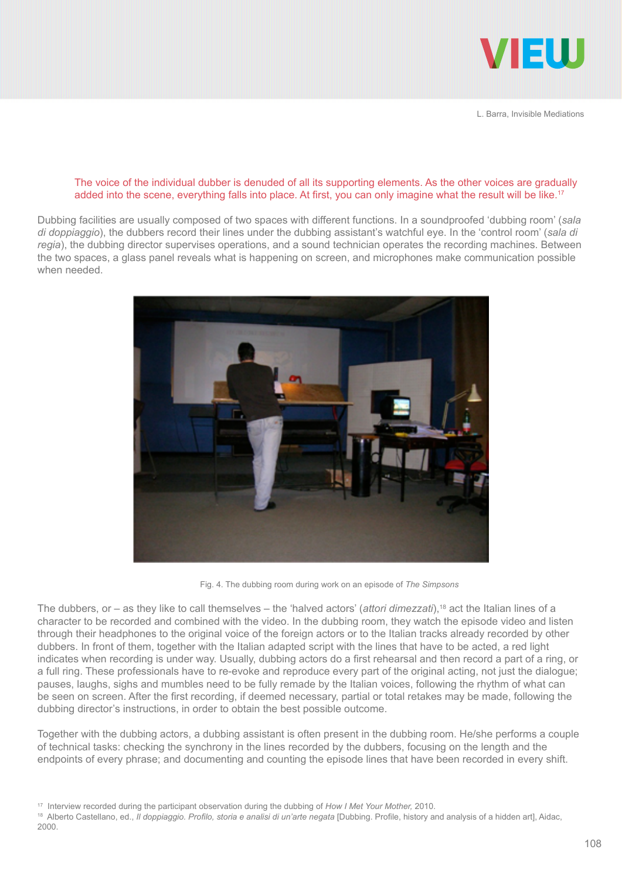

#### The voice of the individual dubber is denuded of all its supporting elements. As the other voices are gradually added into the scene, everything falls into place. At first, you can only imagine what the result will be like.<sup>17</sup>

Dubbing facilities are usually composed of two spaces with different functions. In a soundproofed 'dubbing room' (*sala di doppiaggio*), the dubbers record their lines under the dubbing assistant's watchful eye. In the 'control room' (*sala di regia*), the dubbing director supervises operations, and a sound technician operates the recording machines. Between the two spaces, a glass panel reveals what is happening on screen, and microphones make communication possible when needed.



Fig. 4. The dubbing room during work on an episode of *The Simpsons*

The dubbers, or  $-$  as they like to call themselves  $-$  the 'halved actors' (*attori dimezzati*),<sup>18</sup> act the Italian lines of a character to be recorded and combined with the video. In the dubbing room, they watch the episode video and listen through their headphones to the original voice of the foreign actors or to the Italian tracks already recorded by other dubbers. In front of them, together with the Italian adapted script with the lines that have to be acted, a red light indicates when recording is under way. Usually, dubbing actors do a first rehearsal and then record a part of a ring, or a full ring. These professionals have to re-evoke and reproduce every part of the original acting, not just the dialogue; pauses, laughs, sighs and mumbles need to be fully remade by the Italian voices, following the rhythm of what can be seen on screen. After the first recording, if deemed necessary, partial or total retakes may be made, following the dubbing director's instructions, in order to obtain the best possible outcome.

Together with the dubbing actors, a dubbing assistant is often present in the dubbing room. He/she performs a couple of technical tasks: checking the synchrony in the lines recorded by the dubbers, focusing on the length and the endpoints of every phrase; and documenting and counting the episode lines that have been recorded in every shift.

<sup>17</sup> Interview recorded during the participant observation during the dubbing of *How I Met Your Mother,* 2010.

<sup>&</sup>lt;sup>18</sup> Alberto Castellano, ed., *Il doppiaggio. Profilo, storia e analisi di un'arte negata* [Dubbing. Profile, history and analysis of a hidden art], Aidac, 2000.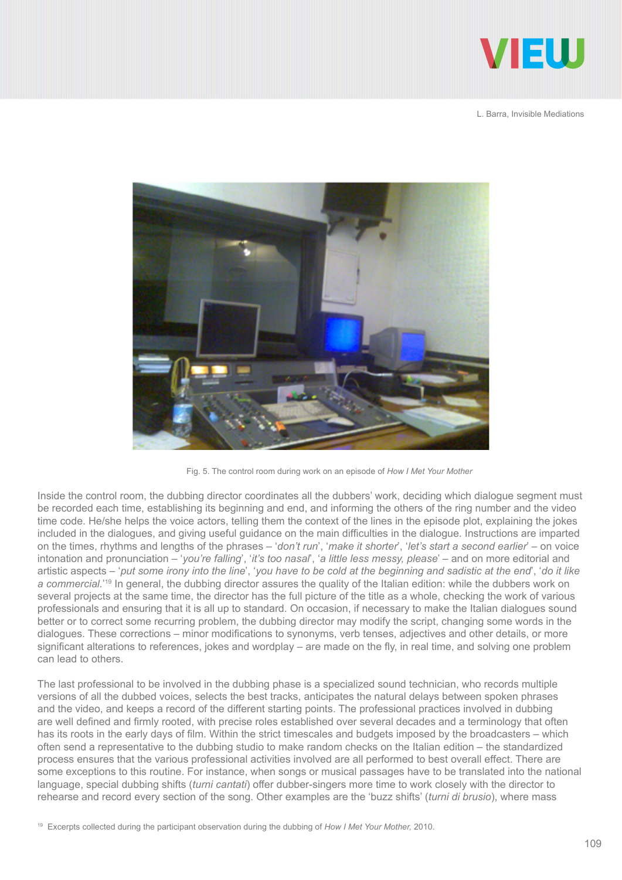



Fig. 5. The control room during work on an episode of *How I Met Your Mother*

Inside the control room, the dubbing director coordinates all the dubbers' work, deciding which dialogue segment must be recorded each time, establishing its beginning and end, and informing the others of the ring number and the video time code. He/she helps the voice actors, telling them the context of the lines in the episode plot, explaining the jokes included in the dialogues, and giving useful guidance on the main difficulties in the dialogue. Instructions are imparted on the times, rhythms and lengths of the phrases – '*don't run*', '*make it shorter*', '*let's start a second earlier*' – on voice intonation and pronunciation – '*you're falling*', '*it's too nasal*', '*a little less messy, please*' – and on more editorial and artistic aspects – '*put some irony into the line*', '*you have to be cold at the beginning and sadistic at the end*', '*do it like*  a commercial.<sup>'19</sup> In general, the dubbing director assures the quality of the Italian edition: while the dubbers work on several projects at the same time, the director has the full picture of the title as a whole, checking the work of various professionals and ensuring that it is all up to standard. On occasion, if necessary to make the Italian dialogues sound better or to correct some recurring problem, the dubbing director may modify the script, changing some words in the dialogues. These corrections – minor modifications to synonyms, verb tenses, adjectives and other details, or more significant alterations to references, jokes and wordplay – are made on the fly, in real time, and solving one problem can lead to others.

The last professional to be involved in the dubbing phase is a specialized sound technician, who records multiple versions of all the dubbed voices, selects the best tracks, anticipates the natural delays between spoken phrases and the video, and keeps a record of the different starting points. The professional practices involved in dubbing are well defined and firmly rooted, with precise roles established over several decades and a terminology that often has its roots in the early days of film. Within the strict timescales and budgets imposed by the broadcasters – which often send a representative to the dubbing studio to make random checks on the Italian edition – the standardized process ensures that the various professional activities involved are all performed to best overall effect. There are some exceptions to this routine. For instance, when songs or musical passages have to be translated into the national language, special dubbing shifts (*turni cantati*) offer dubber-singers more time to work closely with the director to rehearse and record every section of the song. Other examples are the 'buzz shifts' (*turni di brusio*), where mass

19 Excerpts collected during the participant observation during the dubbing of *How I Met Your Mother,* 2010.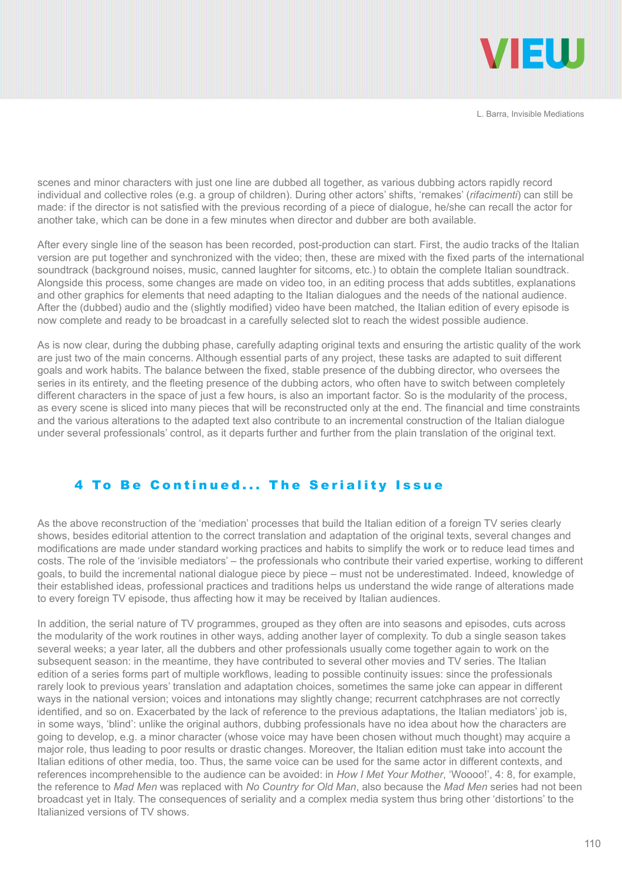

scenes and minor characters with just one line are dubbed all together, as various dubbing actors rapidly record individual and collective roles (e.g. a group of children). During other actors' shifts, 'remakes' (*rifacimenti*) can still be made: if the director is not satisfied with the previous recording of a piece of dialogue, he/she can recall the actor for another take, which can be done in a few minutes when director and dubber are both available.

After every single line of the season has been recorded, post-production can start. First, the audio tracks of the Italian version are put together and synchronized with the video; then, these are mixed with the fixed parts of the international soundtrack (background noises, music, canned laughter for sitcoms, etc.) to obtain the complete Italian soundtrack. Alongside this process, some changes are made on video too, in an editing process that adds subtitles, explanations and other graphics for elements that need adapting to the Italian dialogues and the needs of the national audience. After the (dubbed) audio and the (slightly modified) video have been matched, the Italian edition of every episode is now complete and ready to be broadcast in a carefully selected slot to reach the widest possible audience.

As is now clear, during the dubbing phase, carefully adapting original texts and ensuring the artistic quality of the work are just two of the main concerns. Although essential parts of any project, these tasks are adapted to suit different goals and work habits. The balance between the fixed, stable presence of the dubbing director, who oversees the series in its entirety, and the fleeting presence of the dubbing actors, who often have to switch between completely different characters in the space of just a few hours, is also an important factor. So is the modularity of the process, as every scene is sliced into many pieces that will be reconstructed only at the end. The financial and time constraints and the various alterations to the adapted text also contribute to an incremental construction of the Italian dialogue under several professionals' control, as it departs further and further from the plain translation of the original text.

## 4 To Be Continued... The Seriality Issue

As the above reconstruction of the 'mediation' processes that build the Italian edition of a foreign TV series clearly shows, besides editorial attention to the correct translation and adaptation of the original texts, several changes and modifications are made under standard working practices and habits to simplify the work or to reduce lead times and costs. The role of the 'invisible mediators' – the professionals who contribute their varied expertise, working to different goals, to build the incremental national dialogue piece by piece – must not be underestimated. Indeed, knowledge of their established ideas, professional practices and traditions helps us understand the wide range of alterations made to every foreign TV episode, thus affecting how it may be received by Italian audiences.

In addition, the serial nature of TV programmes, grouped as they often are into seasons and episodes, cuts across the modularity of the work routines in other ways, adding another layer of complexity. To dub a single season takes several weeks; a year later, all the dubbers and other professionals usually come together again to work on the subsequent season: in the meantime, they have contributed to several other movies and TV series. The Italian edition of a series forms part of multiple workflows, leading to possible continuity issues: since the professionals rarely look to previous years' translation and adaptation choices, sometimes the same joke can appear in different ways in the national version; voices and intonations may slightly change; recurrent catchphrases are not correctly identified, and so on. Exacerbated by the lack of reference to the previous adaptations, the Italian mediators' job is, in some ways, 'blind': unlike the original authors, dubbing professionals have no idea about how the characters are going to develop, e.g. a minor character (whose voice may have been chosen without much thought) may acquire a major role, thus leading to poor results or drastic changes. Moreover, the Italian edition must take into account the Italian editions of other media, too. Thus, the same voice can be used for the same actor in different contexts, and references incomprehensible to the audience can be avoided: in *How I Met Your Mother*, 'Woooo!', 4: 8, for example, the reference to *Mad Men* was replaced with *No Country for Old Man*, also because the *Mad Men* series had not been broadcast yet in Italy. The consequences of seriality and a complex media system thus bring other 'distortions' to the Italianized versions of TV shows.